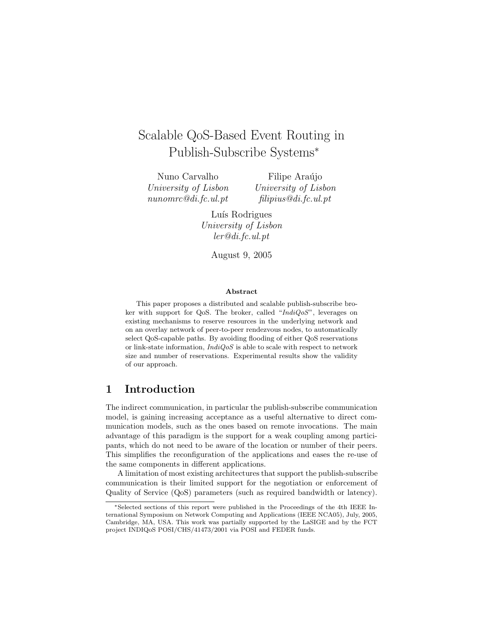# Scalable QoS-Based Event Routing in Publish-Subscribe Systems<sup>∗</sup>

Nuno Carvalho University of Lisbon nunomrc@di.fc.ul.pt

Filipe Araújo University of Lisbon filipius@di.fc.ul.pt

Luís Rodrigues University of Lisbon ler@di.fc.ul.pt

August 9, 2005

#### Abstract

This paper proposes a distributed and scalable publish-subscribe broker with support for QoS. The broker, called " $IndiQoS$ ", leverages on existing mechanisms to reserve resources in the underlying network and on an overlay network of peer-to-peer rendezvous nodes, to automatically select QoS-capable paths. By avoiding flooding of either QoS reservations or link-state information,  $IndiQoS$  is able to scale with respect to network size and number of reservations. Experimental results show the validity of our approach.

### 1 Introduction

The indirect communication, in particular the publish-subscribe communication model, is gaining increasing acceptance as a useful alternative to direct communication models, such as the ones based on remote invocations. The main advantage of this paradigm is the support for a weak coupling among participants, which do not need to be aware of the location or number of their peers. This simplifies the reconfiguration of the applications and eases the re-use of the same components in different applications.

A limitation of most existing architectures that support the publish-subscribe communication is their limited support for the negotiation or enforcement of Quality of Service (QoS) parameters (such as required bandwidth or latency).

<sup>∗</sup>Selected sections of this report were published in the Proceedings of the 4th IEEE International Symposium on Network Computing and Applications (IEEE NCA05), July, 2005, Cambridge, MA, USA. This work was partially supported by the LaSIGE and by the FCT project INDIQoS POSI/CHS/41473/2001 via POSI and FEDER funds.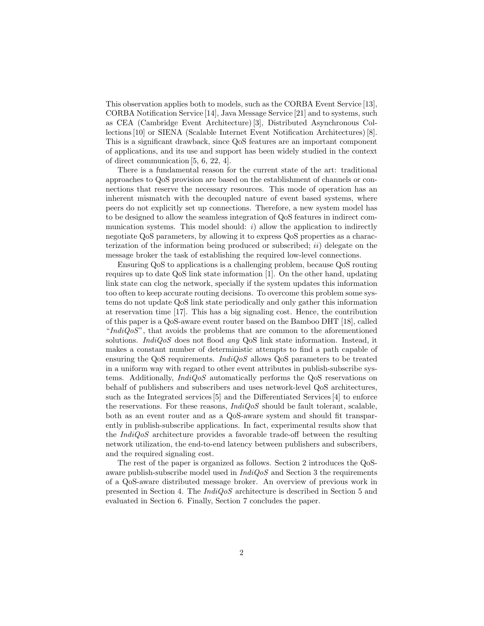This observation applies both to models, such as the CORBA Event Service [13], CORBA Notification Service [14], Java Message Service [21] and to systems, such as CEA (Cambridge Event Architecture) [3], Distributed Asynchronous Collections [10] or SIENA (Scalable Internet Event Notification Architectures) [8]. This is a significant drawback, since QoS features are an important component of applications, and its use and support has been widely studied in the context of direct communication [5, 6, 22, 4].

There is a fundamental reason for the current state of the art: traditional approaches to QoS provision are based on the establishment of channels or connections that reserve the necessary resources. This mode of operation has an inherent mismatch with the decoupled nature of event based systems, where peers do not explicitly set up connections. Therefore, a new system model has to be designed to allow the seamless integration of QoS features in indirect communication systems. This model should:  $i)$  allow the application to indirectly negotiate QoS parameters, by allowing it to express QoS properties as a characterization of the information being produced or subscribed;  $ii)$  delegate on the message broker the task of establishing the required low-level connections.

Ensuring QoS to applications is a challenging problem, because QoS routing requires up to date QoS link state information [1]. On the other hand, updating link state can clog the network, specially if the system updates this information too often to keep accurate routing decisions. To overcome this problem some systems do not update QoS link state periodically and only gather this information at reservation time [17]. This has a big signaling cost. Hence, the contribution of this paper is a QoS-aware event router based on the Bamboo DHT [18], called " $IndiQoS$ ", that avoids the problems that are common to the aforementioned solutions. *IndiQoS* does not flood *any* QoS link state information. Instead, it makes a constant number of deterministic attempts to find a path capable of ensuring the QoS requirements. IndiQoS allows QoS parameters to be treated in a uniform way with regard to other event attributes in publish-subscribe systems. Additionally, IndiQoS automatically performs the QoS reservations on behalf of publishers and subscribers and uses network-level QoS architectures, such as the Integrated services [5] and the Differentiated Services [4] to enforce the reservations. For these reasons,  $IndiQoS$  should be fault tolerant, scalable, both as an event router and as a QoS-aware system and should fit transparently in publish-subscribe applications. In fact, experimental results show that the  $IndiQoS$  architecture provides a favorable trade-off between the resulting network utilization, the end-to-end latency between publishers and subscribers, and the required signaling cost.

The rest of the paper is organized as follows. Section 2 introduces the QoSaware publish-subscribe model used in  $IndiQoS$  and Section 3 the requirements of a QoS-aware distributed message broker. An overview of previous work in presented in Section 4. The IndiQoS architecture is described in Section 5 and evaluated in Section 6. Finally, Section 7 concludes the paper.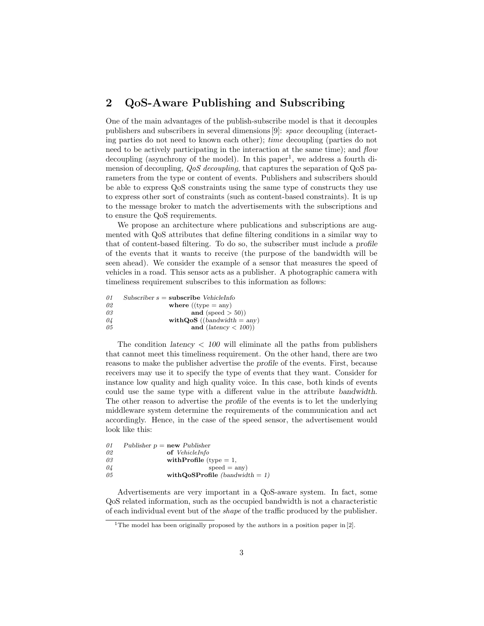# 2 QoS-Aware Publishing and Subscribing

One of the main advantages of the publish-subscribe model is that it decouples publishers and subscribers in several dimensions [9]: space decoupling (interacting parties do not need to known each other); time decoupling (parties do not need to be actively participating in the interaction at the same time); and flow  $\alpha$  decoupling (asynchrony of the model). In this paper<sup>1</sup>, we address a fourth dimension of decoupling,  $QoS$  decoupling, that captures the separation of QoS parameters from the type or content of events. Publishers and subscribers should be able to express QoS constraints using the same type of constructs they use to express other sort of constraints (such as content-based constraints). It is up to the message broker to match the advertisements with the subscriptions and to ensure the QoS requirements.

We propose an architecture where publications and subscriptions are augmented with QoS attributes that define filtering conditions in a similar way to that of content-based filtering. To do so, the subscriber must include a profile of the events that it wants to receive (the purpose of the bandwidth will be seen ahead). We consider the example of a sensor that measures the speed of vehicles in a road. This sensor acts as a publisher. A photographic camera with timeliness requirement subscribes to this information as follows:

| Subscriber $s =$ subscribe VehicleInfo |
|----------------------------------------|
| where $((type = any)$                  |
| and (speed $> 50$ ))                   |
| with $QoS$ ((bandwidth = any)          |
| and $(latency < 100)$                  |
|                                        |

The condition *latency*  $\langle 100 \text{ will eliminate all the paths from publishers} \rangle$ that cannot meet this timeliness requirement. On the other hand, there are two reasons to make the publisher advertise the profile of the events. First, because receivers may use it to specify the type of events that they want. Consider for instance low quality and high quality voice. In this case, both kinds of events could use the same type with a different value in the attribute bandwidth. The other reason to advertise the profile of the events is to let the underlying middleware system determine the requirements of the communication and act accordingly. Hence, in the case of the speed sensor, the advertisement would look like this:

| 01 | Publisher $p = new$ Publisher      |
|----|------------------------------------|
| 02 | <b>of</b> VehicleInfo              |
| 03 | with Profile (type $= 1$ ,         |
| 04 | $speed = any)$                     |
| 05 | with $Qo$ SProfile (bandwidth = 1) |

Advertisements are very important in a QoS-aware system. In fact, some QoS related information, such as the occupied bandwidth is not a characteristic of each individual event but of the shape of the traffic produced by the publisher.

<sup>&</sup>lt;sup>1</sup>The model has been originally proposed by the authors in a position paper in  $[2]$ .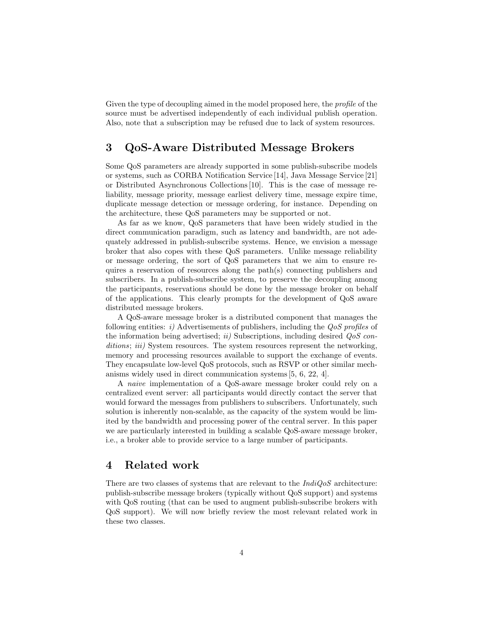Given the type of decoupling aimed in the model proposed here, the *profile* of the source must be advertised independently of each individual publish operation. Also, note that a subscription may be refused due to lack of system resources.

# 3 QoS-Aware Distributed Message Brokers

Some QoS parameters are already supported in some publish-subscribe models or systems, such as CORBA Notification Service [14], Java Message Service [21] or Distributed Asynchronous Collections [10]. This is the case of message reliability, message priority, message earliest delivery time, message expire time, duplicate message detection or message ordering, for instance. Depending on the architecture, these QoS parameters may be supported or not.

As far as we know, QoS parameters that have been widely studied in the direct communication paradigm, such as latency and bandwidth, are not adequately addressed in publish-subscribe systems. Hence, we envision a message broker that also copes with these QoS parameters. Unlike message reliability or message ordering, the sort of QoS parameters that we aim to ensure requires a reservation of resources along the path(s) connecting publishers and subscribers. In a publish-subscribe system, to preserve the decoupling among the participants, reservations should be done by the message broker on behalf of the applications. This clearly prompts for the development of QoS aware distributed message brokers.

A QoS-aware message broker is a distributed component that manages the following entities: i) Advertisements of publishers, including the  $QoS$  profiles of the information being advertised; ii) Subscriptions, including desired  $QoS$  conditions; iii) System resources. The system resources represent the networking, memory and processing resources available to support the exchange of events. They encapsulate low-level QoS protocols, such as RSVP or other similar mechanisms widely used in direct communication systems [5, 6, 22, 4].

A naive implementation of a QoS-aware message broker could rely on a centralized event server: all participants would directly contact the server that would forward the messages from publishers to subscribers. Unfortunately, such solution is inherently non-scalable, as the capacity of the system would be limited by the bandwidth and processing power of the central server. In this paper we are particularly interested in building a scalable QoS-aware message broker, i.e., a broker able to provide service to a large number of participants.

### 4 Related work

There are two classes of systems that are relevant to the  $IndiQoS$  architecture: publish-subscribe message brokers (typically without QoS support) and systems with QoS routing (that can be used to augment publish-subscribe brokers with QoS support). We will now briefly review the most relevant related work in these two classes.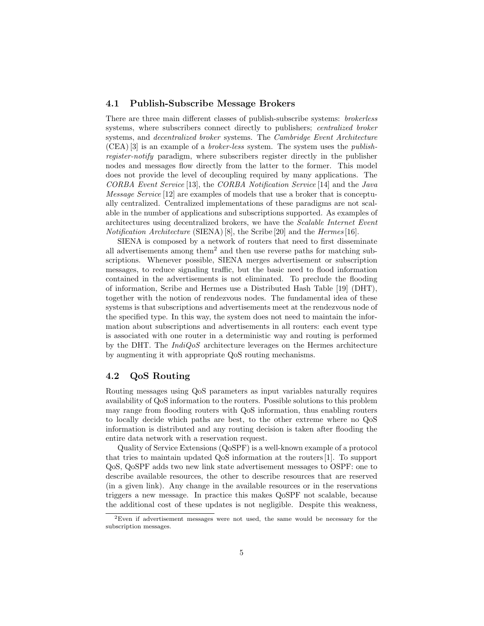#### 4.1 Publish-Subscribe Message Brokers

There are three main different classes of publish-subscribe systems: brokerless systems, where subscribers connect directly to publishers; centralized broker systems, and decentralized broker systems. The Cambridge Event Architecture (CEA) [3] is an example of a broker-less system. The system uses the publishregister-notify paradigm, where subscribers register directly in the publisher nodes and messages flow directly from the latter to the former. This model does not provide the level of decoupling required by many applications. The CORBA Event Service [13], the CORBA Notification Service [14] and the Java Message Service [12] are examples of models that use a broker that is conceptually centralized. Centralized implementations of these paradigms are not scalable in the number of applications and subscriptions supported. As examples of architectures using decentralized brokers, we have the Scalable Internet Event Notification Architecture (SIENA) [8], the Scribe [20] and the Hermes [16].

SIENA is composed by a network of routers that need to first disseminate all advertisements among them<sup>2</sup> and then use reverse paths for matching subscriptions. Whenever possible, SIENA merges advertisement or subscription messages, to reduce signaling traffic, but the basic need to flood information contained in the advertisements is not eliminated. To preclude the flooding of information, Scribe and Hermes use a Distributed Hash Table [19] (DHT), together with the notion of rendezvous nodes. The fundamental idea of these systems is that subscriptions and advertisements meet at the rendezvous node of the specified type. In this way, the system does not need to maintain the information about subscriptions and advertisements in all routers: each event type is associated with one router in a deterministic way and routing is performed by the DHT. The  $IndiQoS$  architecture leverages on the Hermes architecture by augmenting it with appropriate QoS routing mechanisms.

#### 4.2 QoS Routing

Routing messages using QoS parameters as input variables naturally requires availability of QoS information to the routers. Possible solutions to this problem may range from flooding routers with QoS information, thus enabling routers to locally decide which paths are best, to the other extreme where no QoS information is distributed and any routing decision is taken after flooding the entire data network with a reservation request.

Quality of Service Extensions (QoSPF) is a well-known example of a protocol that tries to maintain updated QoS information at the routers [1]. To support QoS, QoSPF adds two new link state advertisement messages to OSPF: one to describe available resources, the other to describe resources that are reserved (in a given link). Any change in the available resources or in the reservations triggers a new message. In practice this makes QoSPF not scalable, because the additional cost of these updates is not negligible. Despite this weakness,

<sup>2</sup>Even if advertisement messages were not used, the same would be necessary for the subscription messages.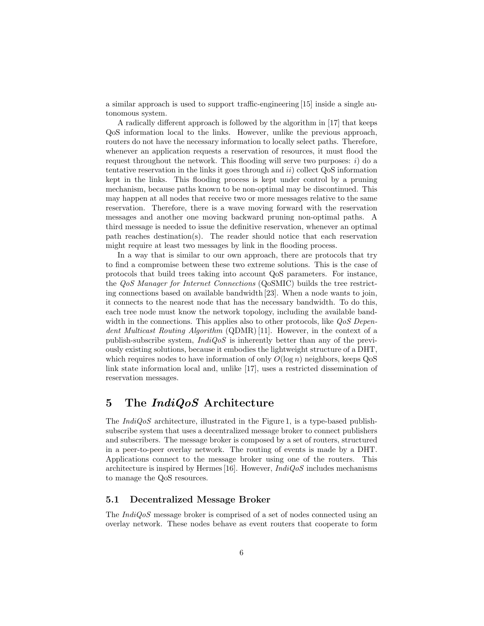a similar approach is used to support traffic-engineering [15] inside a single autonomous system.

A radically different approach is followed by the algorithm in [17] that keeps QoS information local to the links. However, unlike the previous approach, routers do not have the necessary information to locally select paths. Therefore, whenever an application requests a reservation of resources, it must flood the request throughout the network. This flooding will serve two purposes:  $i)$  do a tentative reservation in the links it goes through and  $ii)$  collect  $Q_0S$  information kept in the links. This flooding process is kept under control by a pruning mechanism, because paths known to be non-optimal may be discontinued. This may happen at all nodes that receive two or more messages relative to the same reservation. Therefore, there is a wave moving forward with the reservation messages and another one moving backward pruning non-optimal paths. A third message is needed to issue the definitive reservation, whenever an optimal path reaches destination(s). The reader should notice that each reservation might require at least two messages by link in the flooding process.

In a way that is similar to our own approach, there are protocols that try to find a compromise between these two extreme solutions. This is the case of protocols that build trees taking into account QoS parameters. For instance, the QoS Manager for Internet Connections (QoSMIC) builds the tree restricting connections based on available bandwidth [23]. When a node wants to join, it connects to the nearest node that has the necessary bandwidth. To do this, each tree node must know the network topology, including the available bandwidth in the connections. This applies also to other protocols, like  $QoS$  Dependent Multicast Routing Algorithm (QDMR) [11]. However, in the context of a publish-subscribe system,  $IndiQoS$  is inherently better than any of the previously existing solutions, because it embodies the lightweight structure of a DHT, which requires nodes to have information of only  $O(\log n)$  neighbors, keeps  $Q_0S$ link state information local and, unlike [17], uses a restricted dissemination of reservation messages.

## 5 The *IndiQoS* Architecture

The  $IndiQoS$  architecture, illustrated in the Figure 1, is a type-based publishsubscribe system that uses a decentralized message broker to connect publishers and subscribers. The message broker is composed by a set of routers, structured in a peer-to-peer overlay network. The routing of events is made by a DHT. Applications connect to the message broker using one of the routers. This architecture is inspired by Hermes [16]. However,  $IndiQoS$  includes mechanisms to manage the QoS resources.

#### 5.1 Decentralized Message Broker

The *IndiQoS* message broker is comprised of a set of nodes connected using an overlay network. These nodes behave as event routers that cooperate to form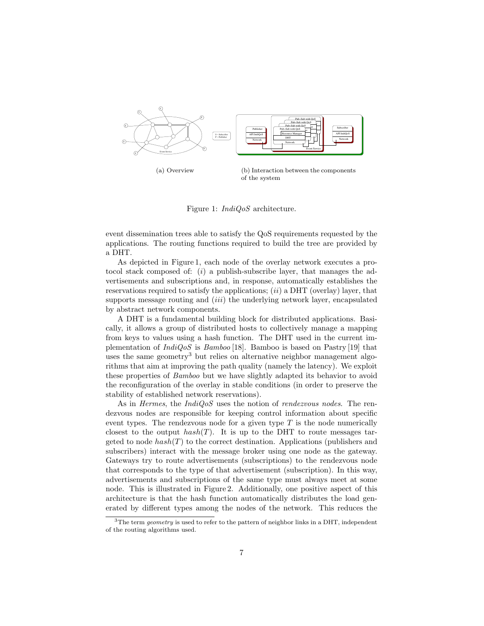

Figure 1: IndiQoS architecture.

event dissemination trees able to satisfy the QoS requirements requested by the applications. The routing functions required to build the tree are provided by a DHT.

As depicted in Figure 1, each node of the overlay network executes a protocol stack composed of:  $(i)$  a publish-subscribe layer, that manages the advertisements and subscriptions and, in response, automatically establishes the reservations required to satisfy the applications;  $(ii)$  a DHT (overlay) layer, that supports message routing and  $(iii)$  the underlying network layer, encapsulated by abstract network components.

A DHT is a fundamental building block for distributed applications. Basically, it allows a group of distributed hosts to collectively manage a mapping from keys to values using a hash function. The DHT used in the current implementation of  $IndiQoS$  is  $Bamboo$  [18]. Bamboo is based on Pastry [19] that uses the same geometry<sup>3</sup> but relies on alternative neighbor management algorithms that aim at improving the path quality (namely the latency). We exploit these properties of Bamboo but we have slightly adapted its behavior to avoid the reconfiguration of the overlay in stable conditions (in order to preserve the stability of established network reservations).

As in *Hermes*, the *IndiQoS* uses the notion of *rendezvous nodes*. The rendezvous nodes are responsible for keeping control information about specific event types. The rendezvous node for a given type  $T$  is the node numerically closest to the output  $hash(T)$ . It is up to the DHT to route messages targeted to node  $hash(T)$  to the correct destination. Applications (publishers and subscribers) interact with the message broker using one node as the gateway. Gateways try to route advertisements (subscriptions) to the rendezvous node that corresponds to the type of that advertisement (subscription). In this way, advertisements and subscriptions of the same type must always meet at some node. This is illustrated in Figure 2. Additionally, one positive aspect of this architecture is that the hash function automatically distributes the load generated by different types among the nodes of the network. This reduces the

<sup>&</sup>lt;sup>3</sup>The term *geometry* is used to refer to the pattern of neighbor links in a DHT, independent of the routing algorithms used.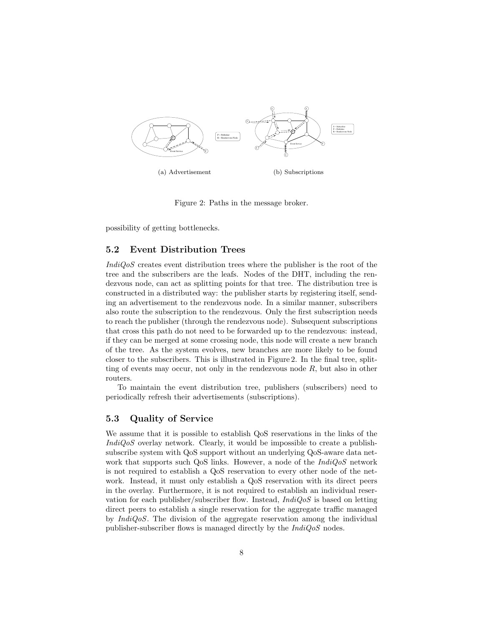

Figure 2: Paths in the message broker.

possibility of getting bottlenecks.

#### 5.2 Event Distribution Trees

IndiQoS creates event distribution trees where the publisher is the root of the tree and the subscribers are the leafs. Nodes of the DHT, including the rendezvous node, can act as splitting points for that tree. The distribution tree is constructed in a distributed way: the publisher starts by registering itself, sending an advertisement to the rendezvous node. In a similar manner, subscribers also route the subscription to the rendezvous. Only the first subscription needs to reach the publisher (through the rendezvous node). Subsequent subscriptions that cross this path do not need to be forwarded up to the rendezvous: instead, if they can be merged at some crossing node, this node will create a new branch of the tree. As the system evolves, new branches are more likely to be found closer to the subscribers. This is illustrated in Figure 2. In the final tree, splitting of events may occur, not only in the rendezvous node  $R$ , but also in other routers.

To maintain the event distribution tree, publishers (subscribers) need to periodically refresh their advertisements (subscriptions).

#### 5.3 Quality of Service

We assume that it is possible to establish QoS reservations in the links of the IndiQoS overlay network. Clearly, it would be impossible to create a publishsubscribe system with QoS support without an underlying QoS-aware data network that supports such QoS links. However, a node of the  $IndiQoS$  network is not required to establish a QoS reservation to every other node of the network. Instead, it must only establish a QoS reservation with its direct peers in the overlay. Furthermore, it is not required to establish an individual reservation for each publisher/subscriber flow. Instead,  $IndiQoS$  is based on letting direct peers to establish a single reservation for the aggregate traffic managed by  $IndiQoS$ . The division of the aggregate reservation among the individual publisher-subscriber flows is managed directly by the  $IndiQoS$  nodes.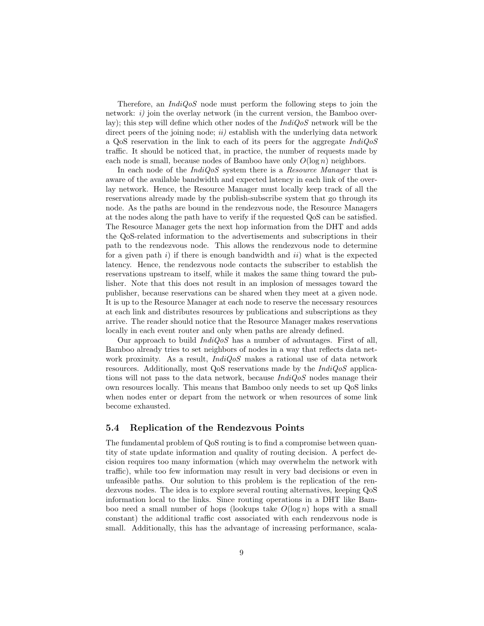Therefore, an  $IndQoS$  node must perform the following steps to join the network:  $i$ ) join the overlay network (in the current version, the Bamboo overlay); this step will define which other nodes of the  $IndiQoS$  network will be the direct peers of the joining node;  $ii)$  establish with the underlying data network a QoS reservation in the link to each of its peers for the aggregate  $IndiQoS$ traffic. It should be noticed that, in practice, the number of requests made by each node is small, because nodes of Bamboo have only  $O(\log n)$  neighbors.

In each node of the *IndiQoS* system there is a *Resource Manager* that is aware of the available bandwidth and expected latency in each link of the overlay network. Hence, the Resource Manager must locally keep track of all the reservations already made by the publish-subscribe system that go through its node. As the paths are bound in the rendezvous node, the Resource Managers at the nodes along the path have to verify if the requested QoS can be satisfied. The Resource Manager gets the next hop information from the DHT and adds the QoS-related information to the advertisements and subscriptions in their path to the rendezvous node. This allows the rendezvous node to determine for a given path  $i$ ) if there is enough bandwidth and  $ii$ ) what is the expected latency. Hence, the rendezvous node contacts the subscriber to establish the reservations upstream to itself, while it makes the same thing toward the publisher. Note that this does not result in an implosion of messages toward the publisher, because reservations can be shared when they meet at a given node. It is up to the Resource Manager at each node to reserve the necessary resources at each link and distributes resources by publications and subscriptions as they arrive. The reader should notice that the Resource Manager makes reservations locally in each event router and only when paths are already defined.

Our approach to build  $IndiQoS$  has a number of advantages. First of all, Bamboo already tries to set neighbors of nodes in a way that reflects data network proximity. As a result,  $IndiQoS$  makes a rational use of data network resources. Additionally, most QoS reservations made by the IndiQoS applications will not pass to the data network, because  $IndiQoS$  nodes manage their own resources locally. This means that Bamboo only needs to set up QoS links when nodes enter or depart from the network or when resources of some link become exhausted.

#### 5.4 Replication of the Rendezvous Points

The fundamental problem of QoS routing is to find a compromise between quantity of state update information and quality of routing decision. A perfect decision requires too many information (which may overwhelm the network with traffic), while too few information may result in very bad decisions or even in unfeasible paths. Our solution to this problem is the replication of the rendezvous nodes. The idea is to explore several routing alternatives, keeping QoS information local to the links. Since routing operations in a DHT like Bamboo need a small number of hops (lookups take  $O(\log n)$  hops with a small constant) the additional traffic cost associated with each rendezvous node is small. Additionally, this has the advantage of increasing performance, scala-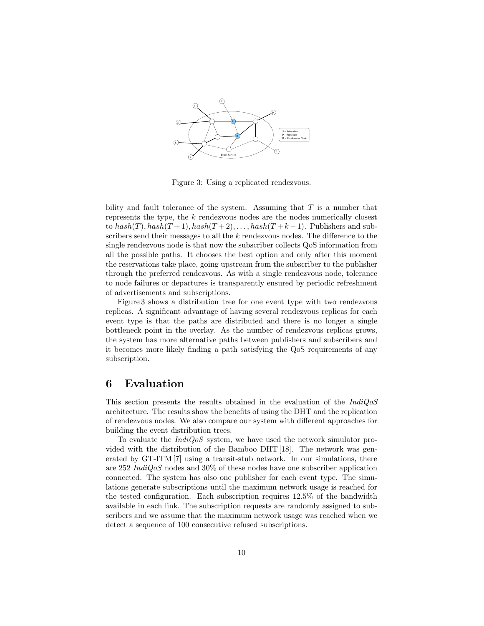

Figure 3: Using a replicated rendezvous.

bility and fault tolerance of the system. Assuming that  $T$  is a number that represents the type, the  $k$  rendezvous nodes are the nodes numerically closest to  $hash(T)$ ,  $hash(T+1)$ ,  $hash(T+2)$ , ...,  $hash(T+k-1)$ . Publishers and subscribers send their messages to all the k rendezvous nodes. The difference to the single rendezvous node is that now the subscriber collects QoS information from all the possible paths. It chooses the best option and only after this moment the reservations take place, going upstream from the subscriber to the publisher through the preferred rendezvous. As with a single rendezvous node, tolerance to node failures or departures is transparently ensured by periodic refreshment of advertisements and subscriptions.

Figure 3 shows a distribution tree for one event type with two rendezvous replicas. A significant advantage of having several rendezvous replicas for each event type is that the paths are distributed and there is no longer a single bottleneck point in the overlay. As the number of rendezvous replicas grows, the system has more alternative paths between publishers and subscribers and it becomes more likely finding a path satisfying the QoS requirements of any subscription.

### 6 Evaluation

This section presents the results obtained in the evaluation of the IndiQoS architecture. The results show the benefits of using the DHT and the replication of rendezvous nodes. We also compare our system with different approaches for building the event distribution trees.

To evaluate the  $IndiQoS$  system, we have used the network simulator provided with the distribution of the Bamboo DHT [18]. The network was generated by GT-ITM [7] using a transit-stub network. In our simulations, there are 252 IndiQoS nodes and 30% of these nodes have one subscriber application connected. The system has also one publisher for each event type. The simulations generate subscriptions until the maximum network usage is reached for the tested configuration. Each subscription requires 12.5% of the bandwidth available in each link. The subscription requests are randomly assigned to subscribers and we assume that the maximum network usage was reached when we detect a sequence of 100 consecutive refused subscriptions.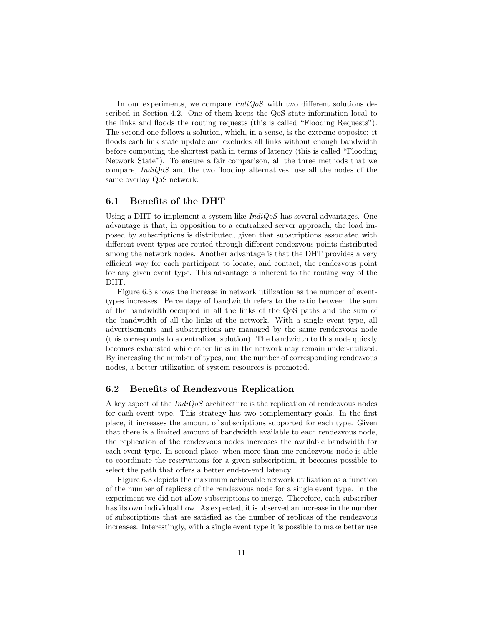In our experiments, we compare  $IndiqoS$  with two different solutions described in Section 4.2. One of them keeps the QoS state information local to the links and floods the routing requests (this is called "Flooding Requests"). The second one follows a solution, which, in a sense, is the extreme opposite: it floods each link state update and excludes all links without enough bandwidth before computing the shortest path in terms of latency (this is called "Flooding Network State"). To ensure a fair comparison, all the three methods that we compare,  $IndiQoS$  and the two flooding alternatives, use all the nodes of the same overlay QoS network.

#### 6.1 Benefits of the DHT

Using a DHT to implement a system like  $IndiQoS$  has several advantages. One advantage is that, in opposition to a centralized server approach, the load imposed by subscriptions is distributed, given that subscriptions associated with different event types are routed through different rendezvous points distributed among the network nodes. Another advantage is that the DHT provides a very efficient way for each participant to locate, and contact, the rendezvous point for any given event type. This advantage is inherent to the routing way of the DHT.

Figure 6.3 shows the increase in network utilization as the number of eventtypes increases. Percentage of bandwidth refers to the ratio between the sum of the bandwidth occupied in all the links of the QoS paths and the sum of the bandwidth of all the links of the network. With a single event type, all advertisements and subscriptions are managed by the same rendezvous node (this corresponds to a centralized solution). The bandwidth to this node quickly becomes exhausted while other links in the network may remain under-utilized. By increasing the number of types, and the number of corresponding rendezvous nodes, a better utilization of system resources is promoted.

#### 6.2 Benefits of Rendezvous Replication

A key aspect of the  $\text{IndiQoS}$  architecture is the replication of rendezvous nodes for each event type. This strategy has two complementary goals. In the first place, it increases the amount of subscriptions supported for each type. Given that there is a limited amount of bandwidth available to each rendezvous node, the replication of the rendezvous nodes increases the available bandwidth for each event type. In second place, when more than one rendezvous node is able to coordinate the reservations for a given subscription, it becomes possible to select the path that offers a better end-to-end latency.

Figure 6.3 depicts the maximum achievable network utilization as a function of the number of replicas of the rendezvous node for a single event type. In the experiment we did not allow subscriptions to merge. Therefore, each subscriber has its own individual flow. As expected, it is observed an increase in the number of subscriptions that are satisfied as the number of replicas of the rendezvous increases. Interestingly, with a single event type it is possible to make better use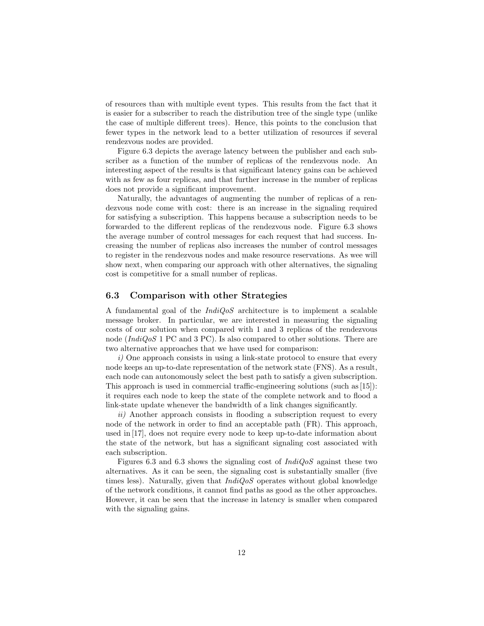of resources than with multiple event types. This results from the fact that it is easier for a subscriber to reach the distribution tree of the single type (unlike the case of multiple different trees). Hence, this points to the conclusion that fewer types in the network lead to a better utilization of resources if several rendezvous nodes are provided.

Figure 6.3 depicts the average latency between the publisher and each subscriber as a function of the number of replicas of the rendezvous node. An interesting aspect of the results is that significant latency gains can be achieved with as few as four replicas, and that further increase in the number of replicas does not provide a significant improvement.

Naturally, the advantages of augmenting the number of replicas of a rendezvous node come with cost: there is an increase in the signaling required for satisfying a subscription. This happens because a subscription needs to be forwarded to the different replicas of the rendezvous node. Figure 6.3 shows the average number of control messages for each request that had success. Increasing the number of replicas also increases the number of control messages to register in the rendezvous nodes and make resource reservations. As wee will show next, when comparing our approach with other alternatives, the signaling cost is competitive for a small number of replicas.

#### 6.3 Comparison with other Strategies

A fundamental goal of the  $IndiQoS$  architecture is to implement a scalable message broker. In particular, we are interested in measuring the signaling costs of our solution when compared with 1 and 3 replicas of the rendezvous node ( $IndiQoS$  1 PC and 3 PC). Is also compared to other solutions. There are two alternative approaches that we have used for comparison:

i) One approach consists in using a link-state protocol to ensure that every node keeps an up-to-date representation of the network state (FNS). As a result, each node can autonomously select the best path to satisfy a given subscription. This approach is used in commercial traffic-engineering solutions (such as [15]): it requires each node to keep the state of the complete network and to flood a link-state update whenever the bandwidth of a link changes significantly.

ii) Another approach consists in flooding a subscription request to every node of the network in order to find an acceptable path (FR). This approach, used in [17], does not require every node to keep up-to-date information about the state of the network, but has a significant signaling cost associated with each subscription.

Figures 6.3 and 6.3 shows the signaling cost of  $IndiQoS$  against these two alternatives. As it can be seen, the signaling cost is substantially smaller (five times less). Naturally, given that  $IndiQoS$  operates without global knowledge of the network conditions, it cannot find paths as good as the other approaches. However, it can be seen that the increase in latency is smaller when compared with the signaling gains.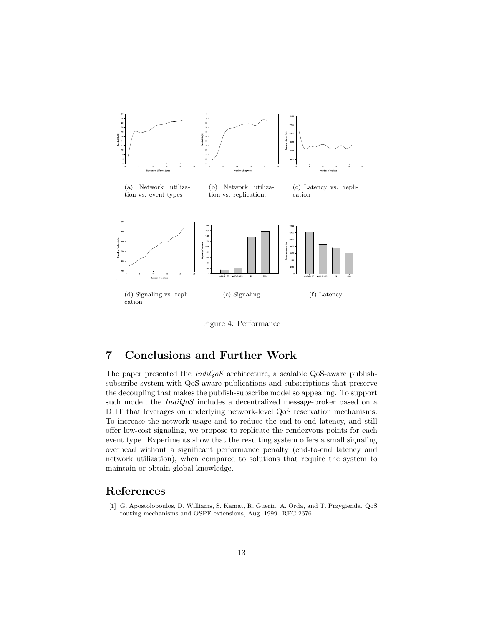

Figure 4: Performance

# 7 Conclusions and Further Work

The paper presented the  $IndiQoS$  architecture, a scalable QoS-aware publishsubscribe system with QoS-aware publications and subscriptions that preserve the decoupling that makes the publish-subscribe model so appealing. To support such model, the  $IndiQoS$  includes a decentralized message-broker based on a DHT that leverages on underlying network-level QoS reservation mechanisms. To increase the network usage and to reduce the end-to-end latency, and still offer low-cost signaling, we propose to replicate the rendezvous points for each event type. Experiments show that the resulting system offers a small signaling overhead without a significant performance penalty (end-to-end latency and network utilization), when compared to solutions that require the system to maintain or obtain global knowledge.

### References

[1] G. Apostolopoulos, D. Williams, S. Kamat, R. Guerin, A. Orda, and T. Przygienda. QoS routing mechanisms and OSPF extensions, Aug. 1999. RFC 2676.